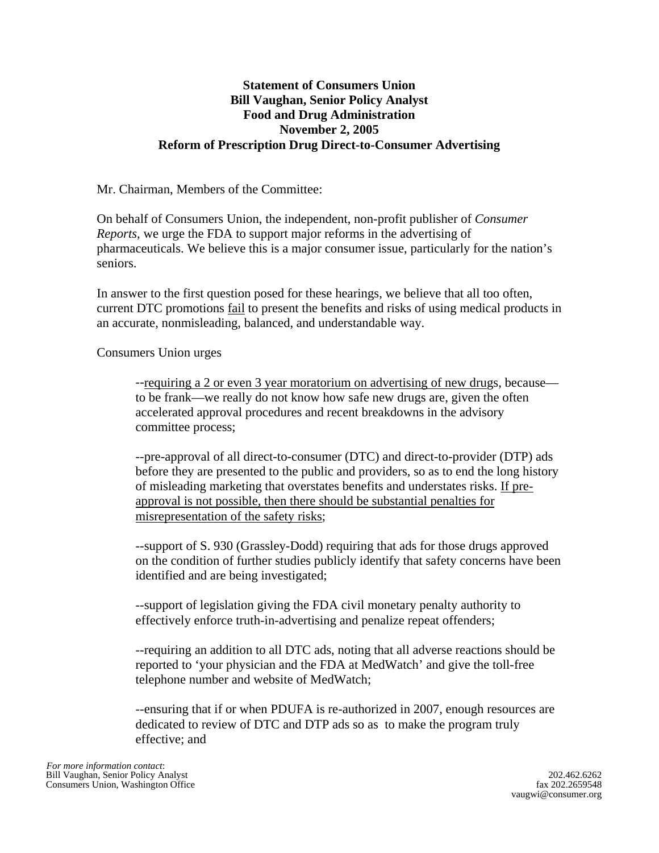#### **Statement of Consumers Union Bill Vaughan, Senior Policy Analyst Food and Drug Administration November 2, 2005 Reform of Prescription Drug Direct-to-Consumer Advertising**

Mr. Chairman, Members of the Committee:

On behalf of Consumers Union, the independent, non-profit publisher of *Consumer Reports,* we urge the FDA to support major reforms in the advertising of pharmaceuticals. We believe this is a major consumer issue, particularly for the nation's seniors.

In answer to the first question posed for these hearings, we believe that all too often, current DTC promotions fail to present the benefits and risks of using medical products in an accurate, nonmisleading, balanced, and understandable way.

Consumers Union urges

--requiring a 2 or even 3 year moratorium on advertising of new drugs, because to be frank—we really do not know how safe new drugs are, given the often accelerated approval procedures and recent breakdowns in the advisory committee process;

--pre-approval of all direct-to-consumer (DTC) and direct-to-provider (DTP) ads before they are presented to the public and providers, so as to end the long history of misleading marketing that overstates benefits and understates risks. If preapproval is not possible, then there should be substantial penalties for misrepresentation of the safety risks;

--support of S. 930 (Grassley-Dodd) requiring that ads for those drugs approved on the condition of further studies publicly identify that safety concerns have been identified and are being investigated;

--support of legislation giving the FDA civil monetary penalty authority to effectively enforce truth-in-advertising and penalize repeat offenders;

 --requiring an addition to all DTC ads, noting that all adverse reactions should be reported to 'your physician and the FDA at MedWatch' and give the toll-free telephone number and website of MedWatch;

--ensuring that if or when PDUFA is re-authorized in 2007, enough resources are dedicated to review of DTC and DTP ads so as to make the program truly effective; and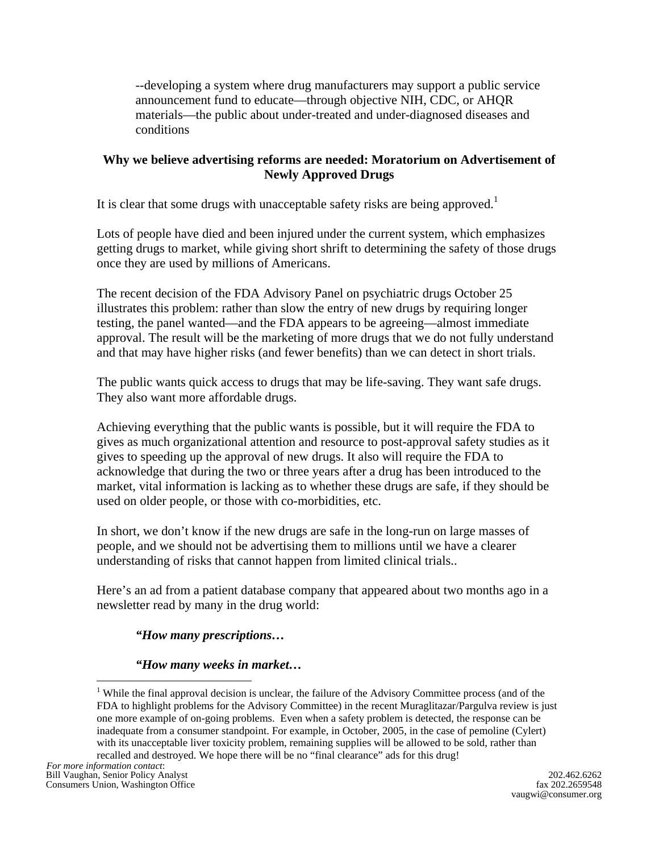--developing a system where drug manufacturers may support a public service announcement fund to educate—through objective NIH, CDC, or AHQR materials—the public about under-treated and under-diagnosed diseases and conditions

#### **Why we believe advertising reforms are needed: Moratorium on Advertisement of Newly Approved Drugs**

It is clear that some drugs with unacceptable safety risks are being approved.<sup>[1](#page-1-0)</sup>

Lots of people have died and been injured under the current system, which emphasizes getting drugs to market, while giving short shrift to determining the safety of those drugs once they are used by millions of Americans.

The recent decision of the FDA Advisory Panel on psychiatric drugs October 25 illustrates this problem: rather than slow the entry of new drugs by requiring longer testing, the panel wanted—and the FDA appears to be agreeing—almost immediate approval. The result will be the marketing of more drugs that we do not fully understand and that may have higher risks (and fewer benefits) than we can detect in short trials.

The public wants quick access to drugs that may be life-saving. They want safe drugs. They also want more affordable drugs.

Achieving everything that the public wants is possible, but it will require the FDA to gives as much organizational attention and resource to post-approval safety studies as it gives to speeding up the approval of new drugs. It also will require the FDA to acknowledge that during the two or three years after a drug has been introduced to the market, vital information is lacking as to whether these drugs are safe, if they should be used on older people, or those with co-morbidities, etc.

In short, we don't know if the new drugs are safe in the long-run on large masses of people, and we should not be advertising them to millions until we have a clearer understanding of risks that cannot happen from limited clinical trials..

Here's an ad from a patient database company that appeared about two months ago in a newsletter read by many in the drug world:

*"How many prescriptions…* 

 *"How many weeks in market…* 

<span id="page-1-0"></span><sup>&</sup>lt;sup>1</sup> While the final approval decision is unclear, the failure of the Advisory Committee process (and of the FDA to highlight problems for the Advisory Committee) in the recent Muraglitazar/Pargulva review is just one more example of on-going problems. Even when a safety problem is detected, the response can be inadequate from a consumer standpoint. For example, in October, 2005, in the case of pemoline (Cylert) with its unacceptable liver toxicity problem, remaining supplies will be allowed to be sold, rather than recalled and destroyed. We hope there will be no "final clearance" ads for this drug!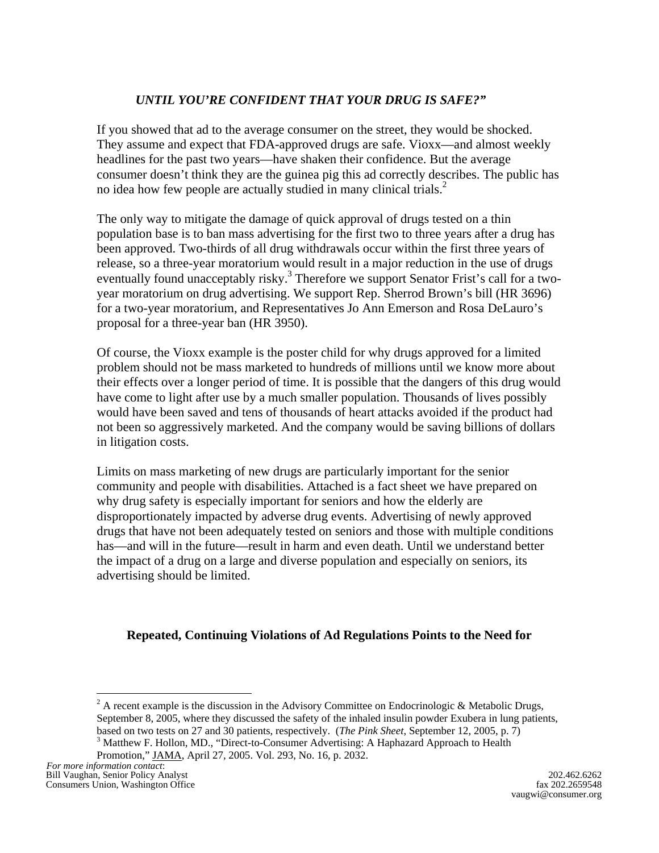## *UNTIL YOU'RE CONFIDENT THAT YOUR DRUG IS SAFE?"*

If you showed that ad to the average consumer on the street, they would be shocked. They assume and expect that FDA-approved drugs are safe. Vioxx—and almost weekly headlines for the past two years—have shaken their confidence. But the average consumer doesn't think they are the guinea pig this ad correctly describes. The public has no idea how few people are actually studied in many clinical trials. $<sup>2</sup>$  $<sup>2</sup>$  $<sup>2</sup>$ </sup>

The only way to mitigate the damage of quick approval of drugs tested on a thin population base is to ban mass advertising for the first two to three years after a drug has been approved. Two-thirds of all drug withdrawals occur within the first three years of release, so a three-year moratorium would result in a major reduction in the use of drugs eventually found unacceptably risky.<sup>3</sup> Therefore we support Senator Frist's call for a twoyear moratorium on drug advertising. We support Rep. Sherrod Brown's bill (HR 3696) for a two-year moratorium, and Representatives Jo Ann Emerson and Rosa DeLauro's proposal for a three-year ban (HR 3950).

Of course, the Vioxx example is the poster child for why drugs approved for a limited problem should not be mass marketed to hundreds of millions until we know more about their effects over a longer period of time. It is possible that the dangers of this drug would have come to light after use by a much smaller population. Thousands of lives possibly would have been saved and tens of thousands of heart attacks avoided if the product had not been so aggressively marketed. And the company would be saving billions of dollars in litigation costs.

Limits on mass marketing of new drugs are particularly important for the senior community and people with disabilities. Attached is a fact sheet we have prepared on why drug safety is especially important for seniors and how the elderly are disproportionately impacted by adverse drug events. Advertising of newly approved drugs that have not been adequately tested on seniors and those with multiple conditions has—and will in the future—result in harm and even death. Until we understand better the impact of a drug on a large and diverse population and especially on seniors, its advertising should be limited.

#### **Repeated, Continuing Violations of Ad Regulations Points to the Need for**

<span id="page-2-0"></span> $2^2$  A recent example is the discussion in the Advisory Committee on Endocrinologic & Metabolic Drugs, September 8, 2005, where they discussed the safety of the inhaled insulin powder Exubera in lung patients, based on two tests on 27 and 30 patients, respectively. (*The Pink Sheet*, September 12, 2005, p. 7)

<span id="page-2-1"></span> $3$  Matthew F. Hollon, MD., "Direct-to-Consumer Advertising: A Haphazard Approach to Health

Promotion," JAMA, April 27, 2005. Vol. 293, No. 16, p. 2032.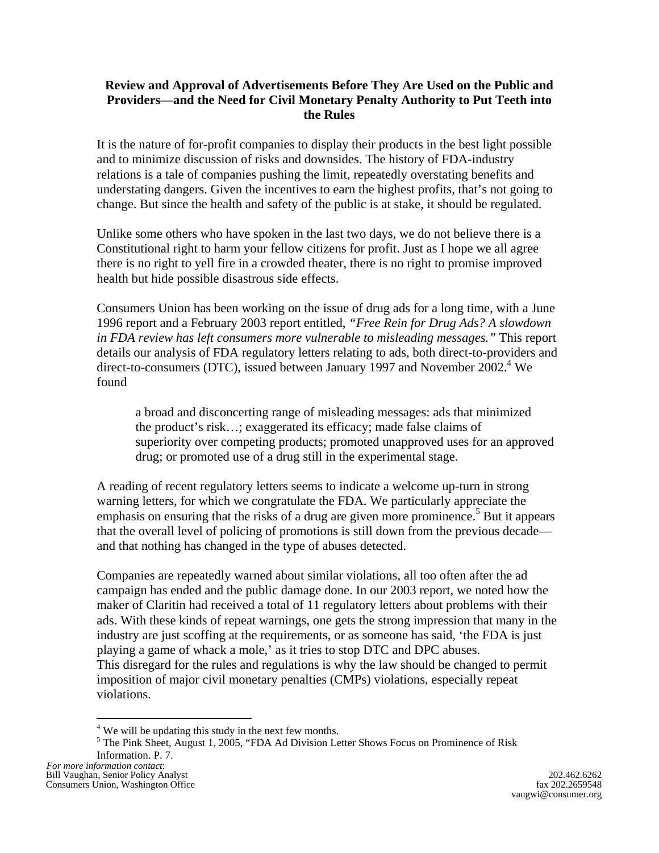#### **Review and Approval of Advertisements Before They Are Used on the Public and Providers—and the Need for Civil Monetary Penalty Authority to Put Teeth into the Rules**

It is the nature of for-profit companies to display their products in the best light possible and to minimize discussion of risks and downsides. The history of FDA-industry relations is a tale of companies pushing the limit, repeatedly overstating benefits and understating dangers. Given the incentives to earn the highest profits, that's not going to change. But since the health and safety of the public is at stake, it should be regulated.

Unlike some others who have spoken in the last two days, we do not believe there is a Constitutional right to harm your fellow citizens for profit. Just as I hope we all agree there is no right to yell fire in a crowded theater, there is no right to promise improved health but hide possible disastrous side effects.

Consumers Union has been working on the issue of drug ads for a long time, with a June 1996 report and a February 2003 report entitled, *"Free Rein for Drug Ads? A slowdown in FDA review has left consumers more vulnerable to misleading messages."* This report details our analysis of FDA regulatory letters relating to ads, both direct-to-providers and direct-to-consumers (DTC), issued between January 1997 and November 2002.<sup>[4](#page-3-0)</sup> We found

a broad and disconcerting range of misleading messages: ads that minimized the product's risk…; exaggerated its efficacy; made false claims of superiority over competing products; promoted unapproved uses for an approved drug; or promoted use of a drug still in the experimental stage.

A reading of recent regulatory letters seems to indicate a welcome up-turn in strong warning letters, for which we congratulate the FDA. We particularly appreciate the emphasison ensuring that the risks of a drug are given more prominence.<sup>5</sup> But it appears that the overall level of policing of promotions is still down from the previous decade and that nothing has changed in the type of abuses detected.

Companies are repeatedly warned about similar violations, all too often after the ad campaign has ended and the public damage done. In our 2003 report, we noted how the maker of Claritin had received a total of 11 regulatory letters about problems with their ads. With these kinds of repeat warnings, one gets the strong impression that many in the industry are just scoffing at the requirements, or as someone has said, 'the FDA is just playing a game of whack a mole,' as it tries to stop DTC and DPC abuses. This disregard for the rules and regulations is why the law should be changed to permit imposition of major civil monetary penalties (CMPs) violations, especially repeat violations.

<span id="page-3-1"></span><span id="page-3-0"></span><sup>&</sup>lt;sup>4</sup> We will be updating this study in the next few months.

<sup>&</sup>lt;sup>5</sup> The Pink Sheet, August 1, 2005, "FDA Ad Division Letter Shows Focus on Prominence of Risk Information. P. 7.

*For more information contact*: Bill Vaughan, Senior Policy Analyst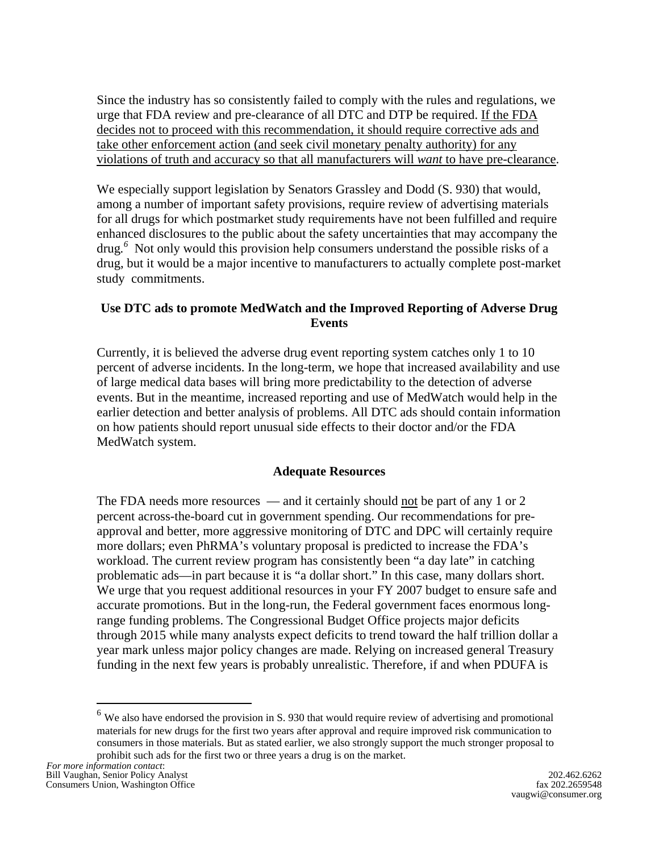Since the industry has so consistently failed to comply with the rules and regulations, we urge that FDA review and pre-clearance of all DTC and DTP be required. If the FDA decides not to proceed with this recommendation, it should require corrective ads and take other enforcement action (and seek civil monetary penalty authority) for any violations of truth and accuracy so that all manufacturers will *want* to have pre-clearance.

We especially support legislation by Senators Grassley and Dodd (S. 930) that would, among a number of important safety provisions, require review of advertising materials for all drugs for which postmarket study requirements have not been fulfilled and require enhanced disclosures to the public about the safety uncertainties that may accompany the drug.<sup>[6](#page-4-0)</sup> Not only would this provision help consumers understand the possible risks of a drug, but it would be a major incentive to manufacturers to actually complete post-market study commitments.

#### **Use DTC ads to promote MedWatch and the Improved Reporting of Adverse Drug Events**

Currently, it is believed the adverse drug event reporting system catches only 1 to 10 percent of adverse incidents. In the long-term, we hope that increased availability and use of large medical data bases will bring more predictability to the detection of adverse events. But in the meantime, increased reporting and use of MedWatch would help in the earlier detection and better analysis of problems. All DTC ads should contain information on how patients should report unusual side effects to their doctor and/or the FDA MedWatch system.

#### **Adequate Resources**

The FDA needs more resources — and it certainly should not be part of any 1 or 2 percent across-the-board cut in government spending. Our recommendations for preapproval and better, more aggressive monitoring of DTC and DPC will certainly require more dollars; even PhRMA's voluntary proposal is predicted to increase the FDA's workload. The current review program has consistently been "a day late" in catching problematic ads—in part because it is "a dollar short." In this case, many dollars short. We urge that you request additional resources in your FY 2007 budget to ensure safe and accurate promotions. But in the long-run, the Federal government faces enormous longrange funding problems. The Congressional Budget Office projects major deficits through 2015 while many analysts expect deficits to trend toward the half trillion dollar a year mark unless major policy changes are made. Relying on increased general Treasury funding in the next few years is probably unrealistic. Therefore, if and when PDUFA is

1

<span id="page-4-0"></span> $6$  We also have endorsed the provision in S. 930 that would require review of advertising and promotional materials for new drugs for the first two years after approval and require improved risk communication to consumers in those materials. But as stated earlier, we also strongly support the much stronger proposal to prohibit such ads for the first two or three years a drug is on the market.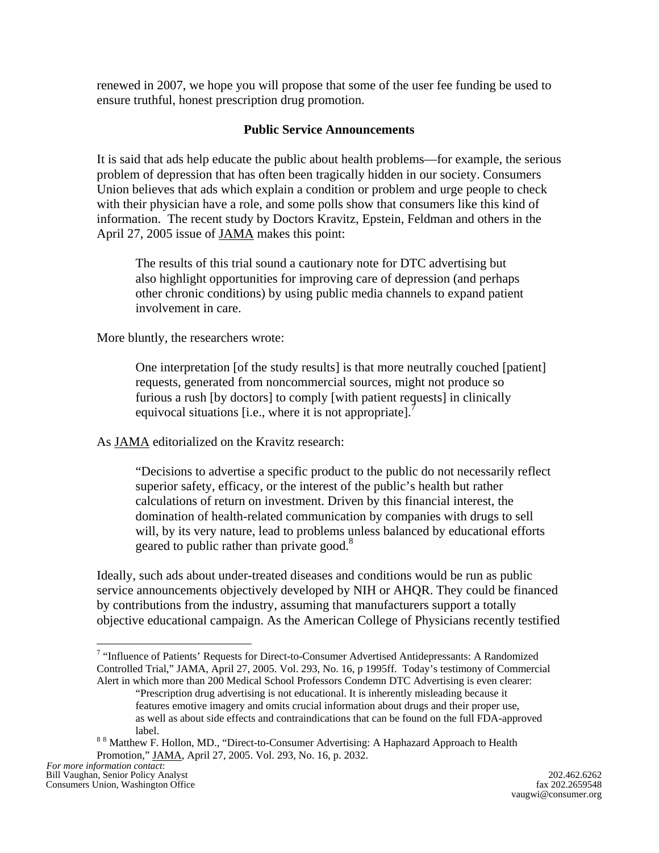renewed in 2007, we hope you will propose that some of the user fee funding be used to ensure truthful, honest prescription drug promotion.

#### **Public Service Announcements**

It is said that ads help educate the public about health problems—for example, the serious problem of depression that has often been tragically hidden in our society. Consumers Union believes that ads which explain a condition or problem and urge people to check with their physician have a role, and some polls show that consumers like this kind of information. The recent study by Doctors Kravitz, Epstein, Feldman and others in the April 27, 2005 issue of JAMA makes this point:

 The results of this trial sound a cautionary note for DTC advertising but also highlight opportunities for improving care of depression (and perhaps other chronic conditions) by using public media channels to expand patient involvement in care.

More bluntly, the researchers wrote:

 One interpretation [of the study results] is that more neutrally couched [patient] requests, generated from noncommercial sources, might not produce so furious a rush [by doctors] to comply [with patient requests] in clinically equivocal situations [i.e., where it is not appropriate].<sup>[7](#page-5-0)</sup>

As JAMA editorialized on the Kravitz research:

 "Decisions to advertise a specific product to the public do not necessarily reflect superior safety, efficacy, or the interest of the public's health but rather calculations of return on investment. Driven by this financial interest, the domination of health-related communication by companies with drugs to sell will, by its very nature, lead to problems unless balanced by educational efforts geared to public rather than private good.<sup>8</sup>

Ideally, such ads about under-treated diseases and conditions would be run as public service announcements objectively developed by NIH or AHQR. They could be financed by contributions from the industry, assuming that manufacturers support a totally objective educational campaign. As the American College of Physicians recently testified

<span id="page-5-0"></span><sup>&</sup>lt;sup>7</sup> "Influence of Patients' Requests for Direct-to-Consumer Advertised Antidepressants: A Randomized Controlled Trial," JAMA, April 27, 2005. Vol. 293, No. 16, p 1995ff. Today's testimony of Commercial Alert in which more than 200 Medical School Professors Condemn DTC Advertising is even clearer:

 <sup>&</sup>quot;Prescription drug advertising is not educational. It is inherently misleading because it features emotive imagery and omits crucial information about drugs and their proper use, as well as about side effects and contraindications that can be found on the full FDA-approved label.

<span id="page-5-1"></span><sup>&</sup>lt;sup>88</sup> Matthew F. Hollon, MD., "Direct-to-Consumer Advertising: A Haphazard Approach to Health Promotion," JAMA, April 27, 2005. Vol. 293, No. 16, p. 2032.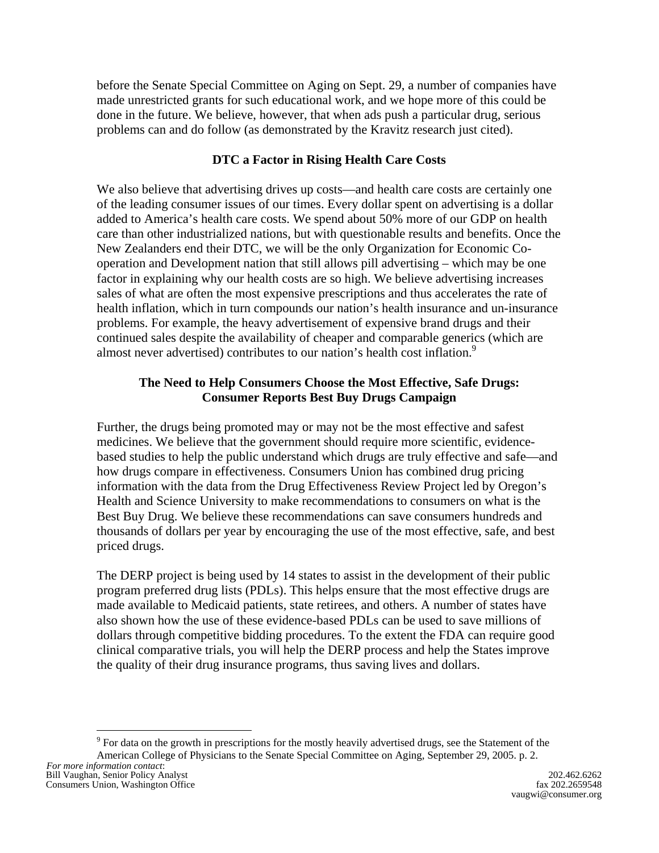before the Senate Special Committee on Aging on Sept. 29, a number of companies have made unrestricted grants for such educational work, and we hope more of this could be done in the future. We believe, however, that when ads push a particular drug, serious problems can and do follow (as demonstrated by the Kravitz research just cited).

### **DTC a Factor in Rising Health Care Costs**

We also believe that advertising drives up costs—and health care costs are certainly one of the leading consumer issues of our times. Every dollar spent on advertising is a dollar added to America's health care costs. We spend about 50% more of our GDP on health care than other industrialized nations, but with questionable results and benefits. Once the New Zealanders end their DTC, we will be the only Organization for Economic Cooperation and Development nation that still allows pill advertising – which may be one factor in explaining why our health costs are so high. We believe advertising increases sales of what are often the most expensive prescriptions and thus accelerates the rate of health inflation, which in turn compounds our nation's health insurance and un-insurance problems. For example, the heavy advertisement of expensive brand drugs and their continued sales despite the availability of cheaper and comparable generics (which are almost never advertised) contributes to our nation's health cost inflation.<sup>[9](#page-6-0)</sup>

#### **The Need to Help Consumers Choose the Most Effective, Safe Drugs: Consumer Reports Best Buy Drugs Campaign**

Further, the drugs being promoted may or may not be the most effective and safest medicines. We believe that the government should require more scientific, evidencebased studies to help the public understand which drugs are truly effective and safe—and how drugs compare in effectiveness. Consumers Union has combined drug pricing information with the data from the Drug Effectiveness Review Project led by Oregon's Health and Science University to make recommendations to consumers on what is the Best Buy Drug. We believe these recommendations can save consumers hundreds and thousands of dollars per year by encouraging the use of the most effective, safe, and best priced drugs.

The DERP project is being used by 14 states to assist in the development of their public program preferred drug lists (PDLs). This helps ensure that the most effective drugs are made available to Medicaid patients, state retirees, and others. A number of states have also shown how the use of these evidence-based PDLs can be used to save millions of dollars through competitive bidding procedures. To the extent the FDA can require good clinical comparative trials, you will help the DERP process and help the States improve the quality of their drug insurance programs, thus saving lives and dollars.

<span id="page-6-0"></span><sup>1</sup> <sup>9</sup> For data on the growth in prescriptions for the mostly heavily advertised drugs, see the Statement of the American College of Physicians to the Senate Special Committee on Aging, September 29, 2005. p. 2.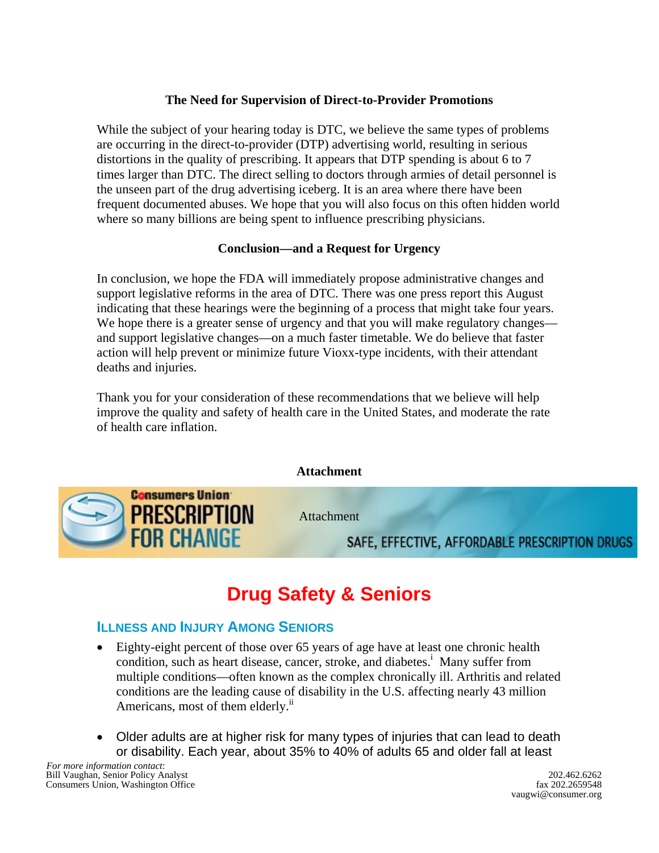# **The Need for Supervision of Direct-to-Provider Promotions**

While the subject of your hearing today is DTC, we believe the same types of problems are occurring in the direct-to-provider (DTP) advertising world, resulting in serious distortions in the quality of prescribing. It appears that DTP spending is about 6 to 7 times larger than DTC. The direct selling to doctors through armies of detail personnel is the unseen part of the drug advertising iceberg. It is an area where there have been frequent documented abuses. We hope that you will also focus on this often hidden world where so many billions are being spent to influence prescribing physicians.

#### **Conclusion—and a Request for Urgency**

In conclusion, we hope the FDA will immediately propose administrative changes and support legislative reforms in the area of DTC. There was one press report this August indicating that these hearings were the beginning of a process that might take four years. We hope there is a greater sense of urgency and that you will make regulatory changes and support legislative changes—on a much faster timetable. We do believe that faster action will help prevent or minimize future Vioxx-type incidents, with their attendant deaths and injuries.

Thank you for your consideration of these recommendations that we believe will help improve the quality and safety of health care in the United States, and moderate the rate of health care inflation.



# **Drug Safety & Seniors**

# **ILLNESS AND INJURY AMONG SENIORS**

- Eighty-eight percent of those over 65 years of age have at least one chronic health condition,such as heart disease, cancer, stroke, and diabetes.<sup>i</sup> Many suffer from multiple conditions—often known as the complex chronically ill. Arthritis and related conditions are the leading cause of disability in the U.S. affecting nearly 43 million Americans, most of them elderly.<sup>[ii](#page-10-1)</sup>
- Older adults are at higher risk for many types of injuries that can lead to death or disability. Each year, about 35% to 40% of adults 65 and older fall at least

*For more information contact*: Bill Vaughan, Senior Policy Analyst Consumers Union, Washington Office

202.462.6262 fax 202.2659548 vaugwi@consumer.org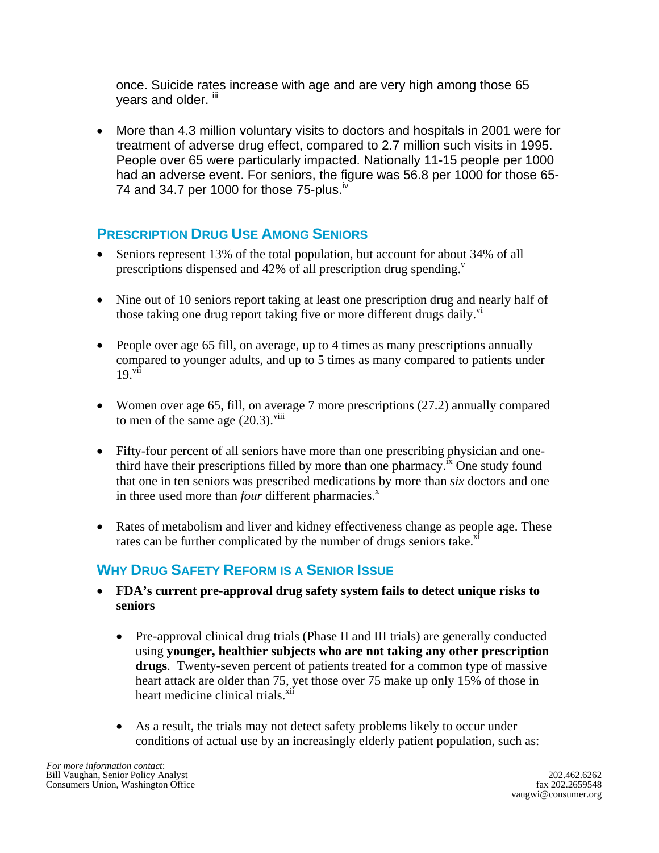once. Suicide rates increase with age and are very high among those 65 vears and older.  $^{\text{iii}}$  $^{\text{iii}}$  $^{\text{iii}}$ 

• More than 4.3 million voluntary visits to doctors and hospitals in 2001 were for treatment of adverse drug effect, compared to 2.7 million such visits in 1995. People over 65 were particularly impacted. Nationally 11-15 people per 1000 had an adverse event. For seniors, the figure was 56.8 per 1000 for those 65 74 and 34.7 per 1000 for those 75-plus.<sup>[iv](#page-10-3)</sup>

# **PRESCRIPTION DRUG USE AMONG SENIORS**

- Seniors represent 13% of the total population, but account for about 34% of all prescriptions dispensed and 42% of all prescription drug spending. $\overline{v}$
- Nine out of 10 seniors report taking at least one prescription drug and nearly half of those taking one drug report taking five or more different drugs daily.<sup>[vi](#page-10-5)</sup>
- People over age 65 fill, on average, up to 4 times as many prescriptions annually compared to younger adults, and up to 5 times as many compared to patients under  $19.$ <sup>vii</sup>
- Women over age 65, fill, on average 7 more prescriptions (27.2) annually compared to men of the same age  $(20.3)$ .<sup>[viii](#page-10-7)</sup>
- Fifty-four percent of all seniors have more than one prescribing physician and onethird have their prescriptions filled by more than one pharmacy.<sup> $\hat{x}$ </sup> One study found that one in ten seniors was prescribed medications by more than *six* doctors and one in three used more than *four* different pharmacies. $^x$  $^x$
- Rates of metabolism and liver and kidney effectiveness change as people age. These rates can be further complicated by the number of drugs seniors take. $x_i$

# **WHY DRUG SAFETY REFORM IS A SENIOR ISSUE**

- **FDA's current pre-approval drug safety system fails to detect unique risks to seniors** 
	- Pre-approval clinical drug trials (Phase II and III trials) are generally conducted using **younger, healthier subjects who are not taking any other prescription drugs**. Twenty-seven percent of patients treated for a common type of massive heart attack are older than 75, yet those over 75 make up only 15% of those in heart medicine clinical trials.<sup>[xii](#page-10-11)</sup>
	- As a result, the trials may not detect safety problems likely to occur under conditions of actual use by an increasingly elderly patient population, such as:

*For more information contact*: Bill Vaughan, Senior Policy Analyst Consumers Union, Washington Office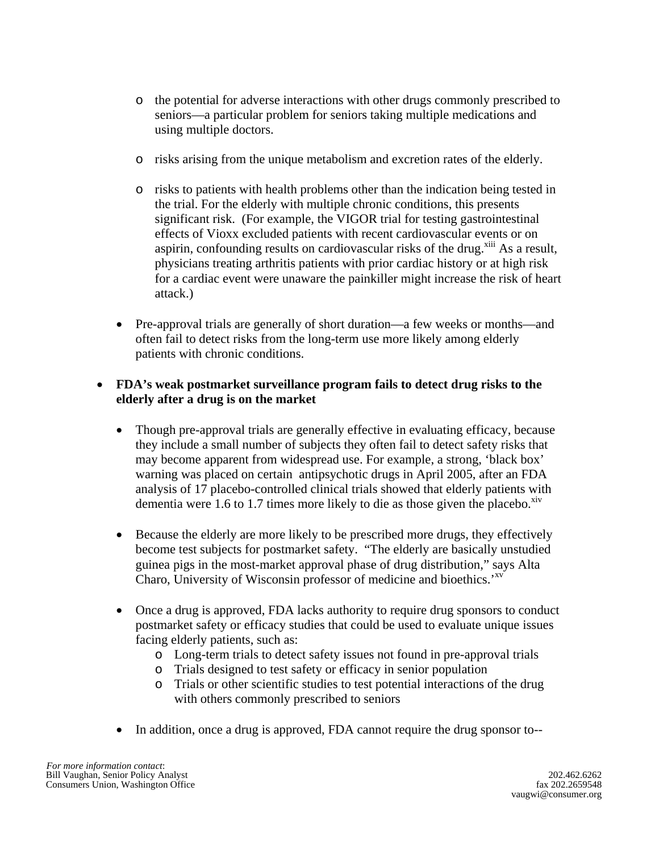- o the potential for adverse interactions with other drugs commonly prescribed to seniors—a particular problem for seniors taking multiple medications and using multiple doctors.
- o risks arising from the unique metabolism and excretion rates of the elderly.
- o risks to patients with health problems other than the indication being tested in the trial. For the elderly with multiple chronic conditions, this presents significant risk. (For example, the VIGOR trial for testing gastrointestinal effects of Vioxx excluded patients with recent cardiovascular events or on aspirin, confounding results on cardiovascular risks of the drug.<sup>xiii</sup> As a result, physicians treating arthritis patients with prior cardiac history or at high risk for a cardiac event were unaware the painkiller might increase the risk of heart attack.)
- Pre-approval trials are generally of short duration—a few weeks or months—and often fail to detect risks from the long-term use more likely among elderly patients with chronic conditions.

# • **FDA's weak postmarket surveillance program fails to detect drug risks to the elderly after a drug is on the market**

- Though pre-approval trials are generally effective in evaluating efficacy, because they include a small number of subjects they often fail to detect safety risks that may become apparent from widespread use. For example, a strong, 'black box' warning was placed on certain antipsychotic drugs in April 2005, after an FDA analysis of 17 placebo-controlled clinical trials showed that elderly patients with dementia were 1.6 to 1.7 times more likely to die as those given the placebo.<sup>[xiv](#page-10-13)</sup>
- Because the elderly are more likely to be prescribed more drugs, they effectively become test subjects for postmarket safety. "The elderly are basically unstudied guinea pigs in the most-market approval phase of drug distribution," says Alta Charo, University of Wisconsin professor of medicine and bioethics.'[xv](#page-10-14)
- Once a drug is approved, FDA lacks authority to require drug sponsors to conduct postmarket safety or efficacy studies that could be used to evaluate unique issues facing elderly patients, such as:
	- o Long-term trials to detect safety issues not found in pre-approval trials
	- o Trials designed to test safety or efficacy in senior population
	- o Trials or other scientific studies to test potential interactions of the drug with others commonly prescribed to seniors
- In addition, once a drug is approved, FDA cannot require the drug sponsor to--